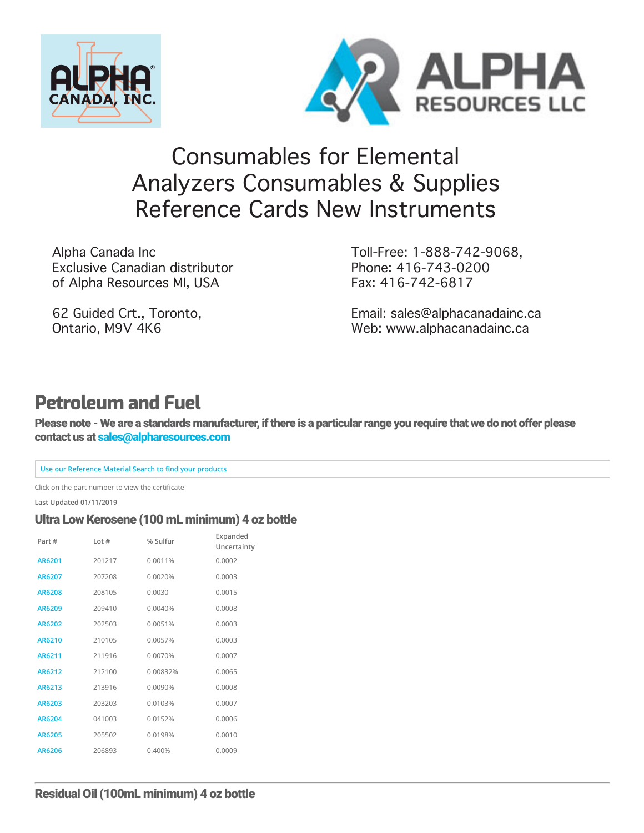



# [Co](https://www.alpharesources.com/eltra_chnos_analyzers.php)[nsumables](https://www.alpharesources.com/gerhardtvelp.php) [for](https://www.alpharesources.com/horiba.php) [Ele](https://www.alpharesources.com/leco-quick-cards.php)[men](https://www.alpharesources.com/literature.php)[tal](https://www.alpharesources.com/current-list-of-standards.php)  [Ana](https://www.alpharesources.com/elementar.php)lyzers Consumables & Supplies Reference Cards New Instruments

Alpha Canada Inc Exclusive Canadian distributor of Alpha Resources MI, USA

62 Guided Crt., Toronto, Ontario, M9V 4K6

Toll-Free: 1-888-742-9068, Phone: 416-743-0200 Fax: 416-742-6817

[Email: sales@alphacanadainc.ca](https://www.alpharesources.com/advanced_search.php) [Web: www.alphacanadainc.ca](https://www.alpharesources.com/advanced_matrix_search.php)

# **Petroleum and Fuel**

Please note - We are a standards manufacturer, if there is a particular range you require that we do not offer please contact us at [sales@alpharesources.com](mailto:Sales@alpharesources.com?subject=Standard%20Request)

#### **Use our Reference Material Search to find your products**

Click on the part number to view the certificate

**Last Updated 01/11/2019**

#### Ultra Low Kerosene (100 mL minimum) 4 oz bottle

| Part#         | Lot $#$ | % Sulfur | Expanded<br>Uncertainty |
|---------------|---------|----------|-------------------------|
| AR6201        | 201217  | 0.0011%  | 0.0002                  |
| AR6207        | 207208  | 0.0020%  | 0.0003                  |
| <b>AR6208</b> | 208105  | 0.0030   | 0.0015                  |
| <b>AR6209</b> | 209410  | 0.0040%  | 0.0008                  |
| AR6202        | 202503  | 0.0051%  | 0.0003                  |
| AR6210        | 210105  | 0.0057%  | 0.0003                  |
| AR6211        | 211916  | 0.0070%  | 0.0007                  |
| AR6212        | 212100  | 0.00832% | 0.0065                  |
| AR6213        | 213916  | 0.0090%  | 0.0008                  |
| AR6203        | 203203  | 0.0103%  | 0.0007                  |
| AR6204        | 041003  | 0.0152%  | 0.0006                  |
| <b>AR6205</b> | 205502  | 0.0198%  | 0.0010                  |
| AR6206        | 206893  | 0.400%   | 0.0009                  |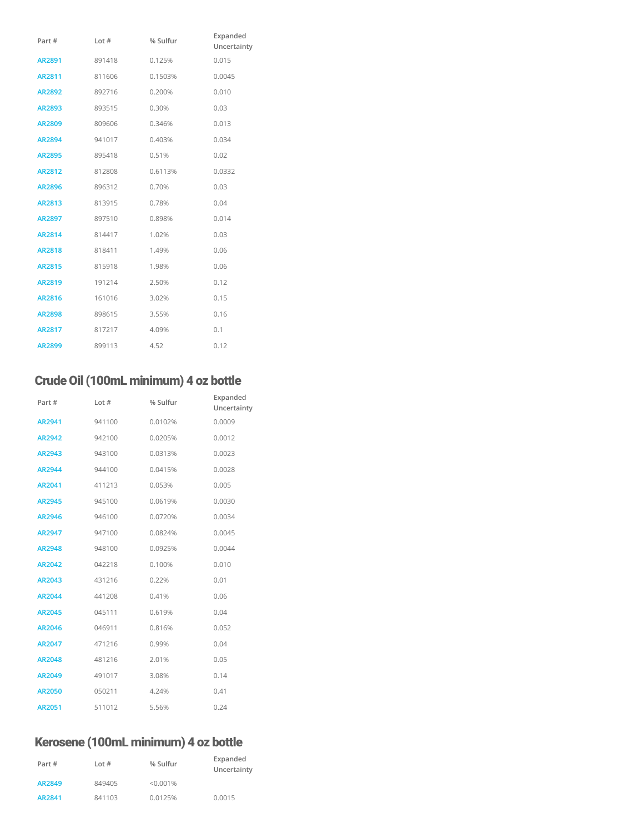| Part #        | Lot $#$ | % Sulfur | Expanded<br>Uncertainty |
|---------------|---------|----------|-------------------------|
| AR2891        | 891418  | 0.125%   | 0.015                   |
| AR2811        | 811606  | 0.1503%  | 0.0045                  |
| <b>AR2892</b> | 892716  | 0.200%   | 0.010                   |
| <b>AR2893</b> | 893515  | 0.30%    | 0.03                    |
| <b>AR2809</b> | 809606  | 0.346%   | 0.013                   |
| <b>AR2894</b> | 941017  | 0.403%   | 0.034                   |
| <b>AR2895</b> | 895418  | 0.51%    | 0.02                    |
| AR2812        | 812808  | 0.6113%  | 0.0332                  |
| <b>AR2896</b> | 896312  | 0.70%    | 0.03                    |
| AR2813        | 813915  | 0.78%    | 0.04                    |
| <b>AR2897</b> | 897510  | 0.898%   | 0.014                   |
| <b>AR2814</b> | 814417  | 1.02%    | 0.03                    |
| <b>AR2818</b> | 818411  | 1.49%    | 0.06                    |
| <b>AR2815</b> | 815918  | 1.98%    | 0.06                    |
| <b>AR2819</b> | 191214  | 2.50%    | 0.12                    |
| AR2816        | 161016  | 3.02%    | 0.15                    |
| <b>AR2898</b> | 898615  | 3.55%    | 0.16                    |
| <b>AR2817</b> | 817217  | 4.09%    | 0.1                     |
| <b>AR2899</b> | 899113  | 4.52     | 0.12                    |

# Crude Oil (100mL minimum) 4 oz bottle

| Part #        | Lot $#$ | % Sulfur | Expanded<br>Uncertainty |
|---------------|---------|----------|-------------------------|
| AR2941        | 941100  | 0.0102%  | 0.0009                  |
| AR2942        | 942100  | 0.0205%  | 0.0012                  |
| AR2943        | 943100  | 0.0313%  | 0.0023                  |
| <b>AR2944</b> | 944100  | 0.0415%  | 0.0028                  |
| AR2041        | 411213  | 0.053%   | 0.005                   |
| <b>AR2945</b> | 945100  | 0.0619%  | 0.0030                  |
| AR2946        | 946100  | 0.0720%  | 0.0034                  |
| <b>AR2947</b> | 947100  | 0.0824%  | 0.0045                  |
| <b>AR2948</b> | 948100  | 0.0925%  | 0.0044                  |
| <b>AR2042</b> | 042218  | 0.100%   | 0.010                   |
| AR2043        | 431216  | 0.22%    | 0.01                    |
| <b>AR2044</b> | 441208  | 0.41%    | 0.06                    |
| <b>AR2045</b> | 045111  | 0.619%   | 0.04                    |
| AR2046        | 046911  | 0.816%   | 0.052                   |
| <b>AR2047</b> | 471216  | 0.99%    | 0.04                    |
| <b>AR2048</b> | 481216  | 2.01%    | 0.05                    |
| <b>AR2049</b> | 491017  | 3.08%    | 0.14                    |
| <b>AR2050</b> | 050211  | 4.24%    | 0.41                    |
| AR2051        | 511012  | 5.56%    | 0.24                    |

# Kerosene (100mL minimum) 4 oz bottle

| Part#  | Lot#   | % Sulfur | Expanded<br>Uncertainty |
|--------|--------|----------|-------------------------|
| AR2849 | 849405 | < 0.001% |                         |
| AR2841 | 841103 | 0.0125%  | 0.0015                  |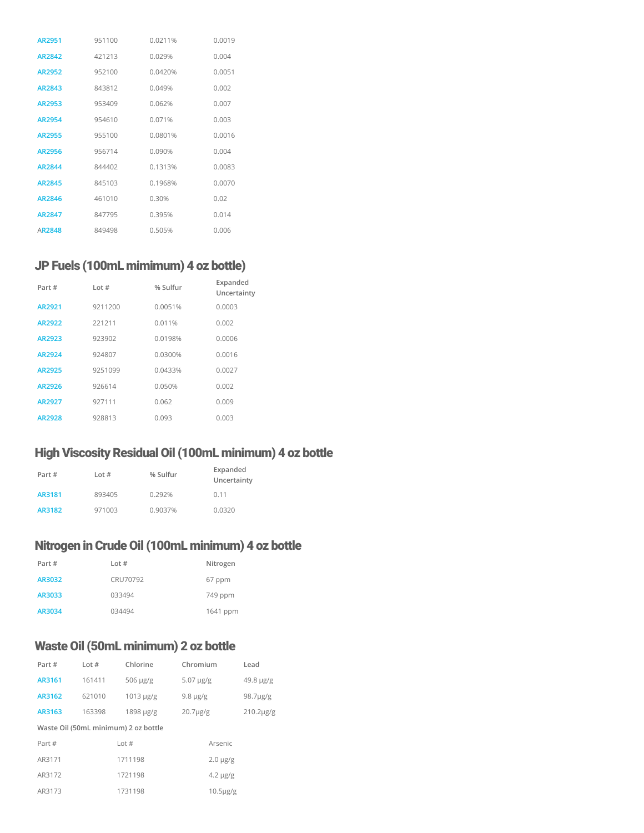| AR2951        | 951100 | 00211%  | 0.0019 |
|---------------|--------|---------|--------|
| AR2842        | 421213 | 0.029%  | 0.004  |
| AR2952        | 952100 | 0.0420% | 0.0051 |
| AR2843        | 843812 | 0.049%  | 0.002  |
| AR2953        | 953409 | 0.062%  | 0.007  |
| <b>AR2954</b> | 954610 | 0.071%  | 0.003  |
| AR2955        | 955100 | 0.0801% | 0.0016 |
| AR2956        | 956714 | 0.090%  | 0.004  |
| AR2844        | 844402 | 0.1313% | 0.0083 |
| AR2845        | 845103 | 0.1968% | 0.0070 |
| AR2846        | 461010 | 0.30%   | 0.02   |
| AR2847        | 847795 | 0395%   | 0.014  |
| AR2848        | 849498 | 0.505%  | 0.006  |

# JP Fuels (100mL mimimum) 4 oz bottle)

| Part#  | Lot $#$ | % Sulfur | Expanded<br>Uncertainty |
|--------|---------|----------|-------------------------|
| AR2921 | 9211200 | 0.0051%  | 0.0003                  |
| AR2922 | 221211  | 0.011%   | 0.002                   |
| AR2923 | 923902  | 0.0198%  | 0.0006                  |
| AR2924 | 924807  | 0.0300%  | 0.0016                  |
| AR2925 | 9251099 | 0.0433%  | 0.0027                  |
| AR2926 | 926614  | 0.050%   | 0.002                   |
| AR2927 | 927111  | 0.062    | 0.009                   |
| AR2928 | 928813  | 0.093    | 0.003                   |

# High Viscosity Residual Oil (100mL minimum) 4 oz bottle

| Part # | Lot $#$ | % Sulfur | Expanded<br>Uncertainty |
|--------|---------|----------|-------------------------|
| AR3181 | 893405  | 0.292%   | 0.11                    |
| AR3182 | 971003  | 0.9037%  | 0.0320                  |

# Nitrogen in Crude Oil (100mL minimum) 4 oz bottle

| Part#  | Lot $#$  | Nitrogen |
|--------|----------|----------|
| AR3032 | CRU70792 | 67 ppm   |
| AR3033 | 033494   | 749 ppm  |
| AR3034 | 034494   | 1641 ppm |

# Waste Oil (50mL minimum) 2 oz bottle

| Part#  | Lot $#$ | Chlorine                             | Chromium       |                | Lead           |
|--------|---------|--------------------------------------|----------------|----------------|----------------|
| AR3161 | 161411  | $506 \mu g/g$                        | $5.07 \mu g/g$ |                | 49.8 µg/g      |
| AR3162 | 621010  | $1013 \mu g/g$                       | $9.8 \mu g/g$  |                | $98.7 \mu g/g$ |
| AR3163 | 163398  | $1898 \mu g/g$                       | $20.7 \mu g/g$ |                | 210.2µg/g      |
|        |         | Waste Oil (50mL minimum) 2 oz bottle |                |                |                |
| Part # |         | Lot#                                 |                | Arsenic        |                |
| AR3171 |         | 1711198                              |                | $2.0 \mu g/g$  |                |
| AR3172 |         | 1721198                              |                | $4.2 \mu g/g$  |                |
| AR3173 |         | 1731198                              |                | $10.5 \mu g/g$ |                |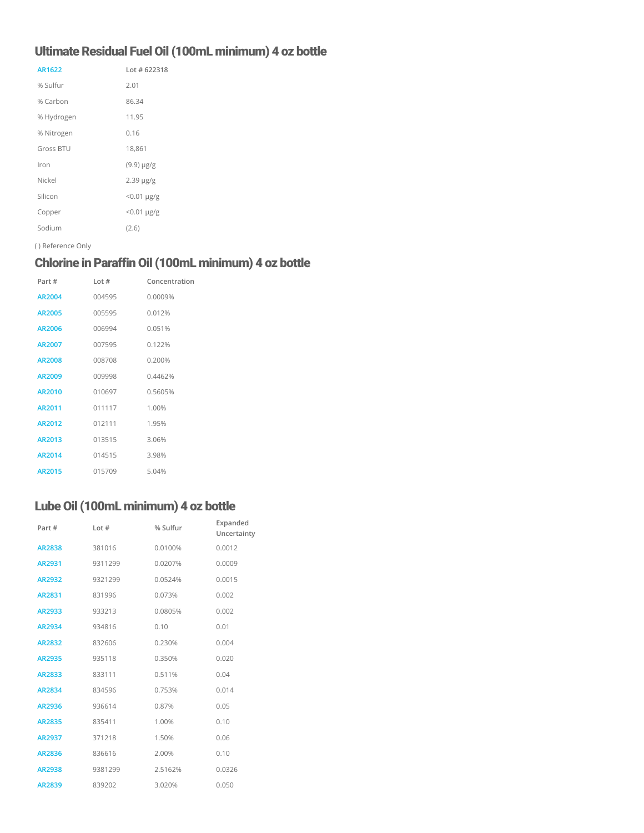# Ultimate Residual Fuel Oil (100mL minimum) 4 oz bottle

| AR1622     | Lot $#622318$      |
|------------|--------------------|
| % Sulfur   | 2.01               |
| % Carbon   | 86.34              |
| % Hydrogen | 11.95              |
| % Nitrogen | 0.16               |
| Gross BTU  | 18,861             |
| Iron       | $(9.9) \mu g/g$    |
| Nickel     | $2.39 \mu g/g$     |
| Silicon    | $< 0.01 \mu g/g$   |
| Copper     | $< 0.01 \,\mu g/g$ |
| Sodium     | (2.6)              |

( ) Reference Only

# Chlorine in Paraffin Oil (100mL minimum) 4 oz bottle

| Part#         | Int#   | Concentration |
|---------------|--------|---------------|
| AR2004        | 004595 | 0.0009%       |
| AR2005        | 005595 | 0.012%        |
| AR2006        | 006994 | 0.051%        |
| AR2007        | 007595 | 0.122%        |
| <b>AR2008</b> | 008708 | 0.200%        |
| AR2009        | 009998 | 04462%        |
| AR2010        | 010697 | 0.5605%       |
| AR2011        | 011117 | 1.00%         |
| AR2012        | 012111 | 1.95%         |
| AR2013        | 013515 | 3.06%         |
| AR2014        | 014515 | 3.98%         |
| AR2015        | 015709 | 5.04%         |

# Lube Oil (100mL minimum) 4 oz bottle

| Part#         | Lot#    | % Sulfur | Expanded<br>Uncertainty |
|---------------|---------|----------|-------------------------|
| <b>AR2838</b> | 381016  | 0.0100%  | 0.0012                  |
| AR2931        | 9311299 | 0.0207%  | 0.0009                  |
| AR2932        | 9321299 | 0.0524%  | 0.0015                  |
| AR2831        | 831996  | 0.073%   | 0.002                   |
| AR2933        | 933213  | 0.0805%  | 0.002                   |
| AR2934        | 934816  | 0.10     | 0.01                    |
| AR2832        | 832606  | 0.230%   | 0.004                   |
| <b>AR2935</b> | 935118  | 0.350%   | 0.020                   |
| <b>AR2833</b> | 833111  | 0.511%   | 0.04                    |
| AR2834        | 834596  | 0.753%   | 0.014                   |
| AR2936        | 936614  | 0.87%    | 0.05                    |
| <b>AR2835</b> | 835411  | 1.00%    | 0.10                    |
| AR2937        | 371218  | 1.50%    | 0.06                    |
| AR2836        | 836616  | 2.00%    | 0.10                    |
| <b>AR2938</b> | 9381299 | 2.5162%  | 0.0326                  |
| <b>AR2839</b> | 839202  | 3.020%   | 0.050                   |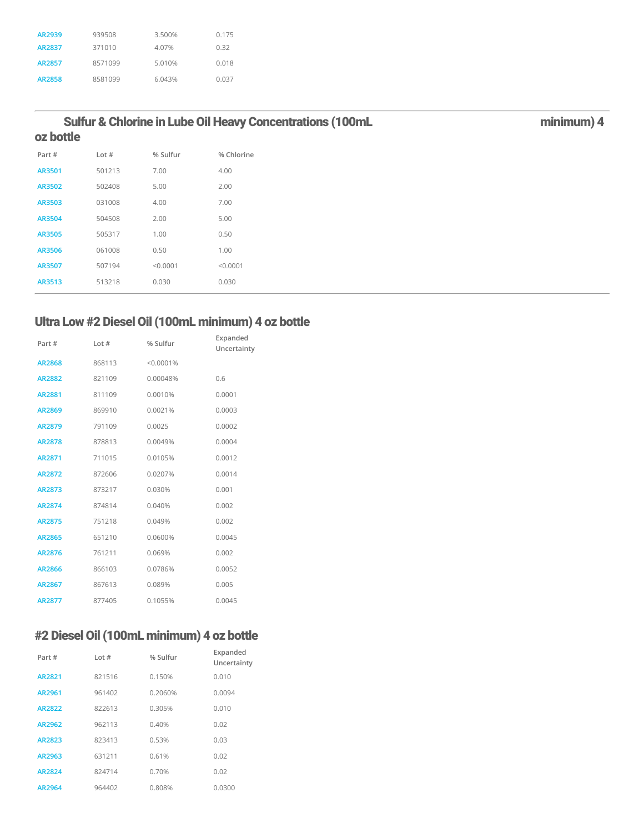| AR2939        | 939508  | 3.500% | 0.175 |
|---------------|---------|--------|-------|
| AR2837        | 371010  | 4.07%  | 0.32  |
| AR2857        | 8571099 | 5.010% | 0.018 |
| <b>AR2858</b> | 8581099 | 6.043% | 0.037 |

#### Sulfur & Chlorine in Lube Oil Heavy Concentrations (100mL **matrices and Sulfur August** 2011) 4 oz bottle

| Part#  | Lot#   | % Sulfur | % Chlorine |
|--------|--------|----------|------------|
| AR3501 | 501213 | 7.00     | 4.00       |
| AR3502 | 502408 | 5.00     | 2.00       |
| AR3503 | 031008 | 4.00     | 7.00       |
| AR3504 | 504508 | 2.00     | 5.00       |
| AR3505 | 505317 | 1.00     | 0.50       |
| AR3506 | 061008 | 0.50     | 1.00       |
| AR3507 | 507194 | < 0.0001 | < 0.0001   |
| AR3513 | 513218 | 0.030    | 0.030      |

# Ultra Low #2 Diesel Oil (100mL minimum) 4 oz bottle

| Part#         | Lot $#$ | % Sulfur  | Expanded<br>Uncertainty |
|---------------|---------|-----------|-------------------------|
| <b>AR2868</b> | 868113  | < 0.0001% |                         |
| <b>AR2882</b> | 821109  | 0.00048%  | 0.6                     |
| <b>AR2881</b> | 811109  | 0.0010%   | 0.0001                  |
| <b>AR2869</b> | 869910  | 0.0021%   | 0.0003                  |
| <b>AR2879</b> | 791109  | 0.0025    | 0.0002                  |
| <b>AR2878</b> | 878813  | 0.0049%   | 0.0004                  |
| AR2871        | 711015  | 0.0105%   | 0.0012                  |
| AR2872        | 872606  | 0.0207%   | 0.0014                  |
| AR2873        | 873217  | 0.030%    | 0.001                   |
| AR2874        | 874814  | 0.040%    | 0.002                   |
| <b>AR2875</b> | 751218  | 0.049%    | 0.002                   |
| <b>AR2865</b> | 651210  | 0.0600%   | 0.0045                  |
| AR2876        | 761211  | 0.069%    | 0.002                   |
| <b>AR2866</b> | 866103  | 0.0786%   | 0.0052                  |
| <b>AR2867</b> | 867613  | 0.089%    | 0.005                   |
| <b>AR2877</b> | 877405  | 0.1055%   | 0.0045                  |

# #2 Diesel Oil (100mL minimum) 4 oz bottle

| Part#         | Lot#   | Expanded<br>% Sulfur<br>Uncertainty |        |  |  |
|---------------|--------|-------------------------------------|--------|--|--|
| AR2821        | 821516 | 0.150%                              | 0.010  |  |  |
| AR2961        | 961402 | 0.2060%                             | 0.0094 |  |  |
| <b>AR2822</b> | 822613 | 0.305%                              | 0.010  |  |  |
| AR2962        | 962113 | 0.40%                               | 0.02   |  |  |
| AR2823        | 823413 | 0.53%                               | 0.03   |  |  |
| AR2963        | 631211 | 0.61%                               | 0.02   |  |  |
| AR2824        | 824714 | 0.70%                               | 0.02   |  |  |
| AR2964        | 964402 | 0.808%                              | 0.0300 |  |  |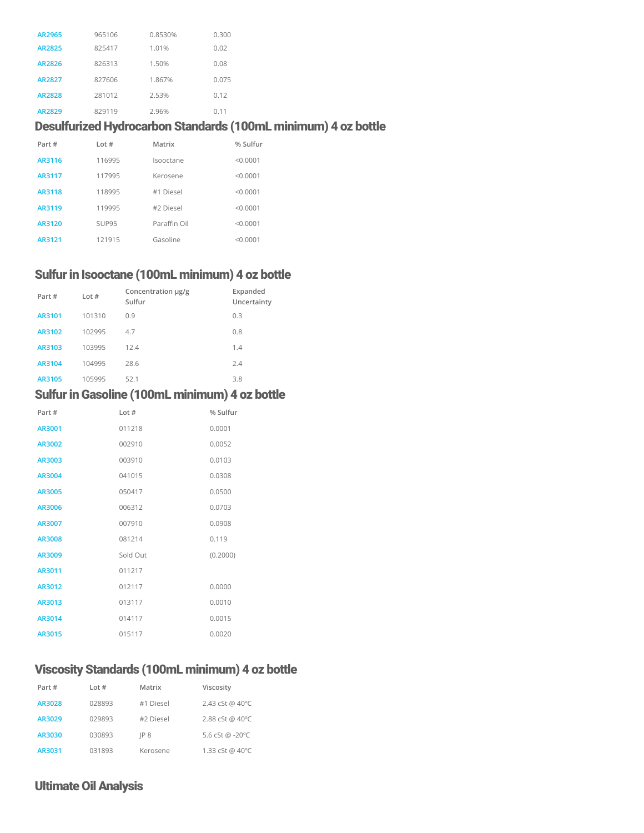| AR2965        | 965106 | 0.8530% | 0.300 |
|---------------|--------|---------|-------|
| AR2825        | 825417 | 1.01%   | 0.02  |
| AR2826        | 826313 | 1.50%   | 0.08  |
| AR2827        | 827606 | 1.867%  | 0.075 |
| <b>AR2828</b> | 281012 | 2.53%   | 0.12  |
| AR2829        | 829119 | 2.96%   | 0.11  |

### Desulfurized Hydrocarbon Standards (100mL minimum) 4 oz bottle

| Part#  | Lot#   | Matrix       | % Sulfur |
|--------|--------|--------------|----------|
| AR3116 | 116995 | Isooctane    | < 0.0001 |
| AR3117 | 117995 | Kerosene     | < 0.0001 |
| AR3118 | 118995 | #1 Diesel    | < 0.0001 |
| AR3119 | 119995 | #2 Diesel    | < 0.0001 |
| AR3120 | SUP95  | Paraffin Oil | < 0.0001 |
| AR3121 | 121915 | Gasoline     | < 0.0001 |

# Sulfur in Isooctane (100mL minimum) 4 oz bottle

| Part#  | Lot $#$ | Concentration µg/g<br>Sulfur | Expanded<br>Uncertainty |
|--------|---------|------------------------------|-------------------------|
| AR3101 | 101310  | 0.9                          | 0.3                     |
| AR3102 | 102995  | 4.7                          | 0.8                     |
| AR3103 | 103995  | 12.4                         | 1.4                     |
| AR3104 | 104995  | 28.6                         | 2.4                     |
| AR3105 | 105995  | 52.1                         | 3.8                     |

#### Sulfur in Gasoline (100mL minimum) 4 oz bottle

| Part #        | Lot $#$  | % Sulfur |
|---------------|----------|----------|
| AR3001        | 011218   | 0.0001   |
| AR3002        | 002910   | 0.0052   |
| AR3003        | 003910   | 0.0103   |
| AR3004        | 041015   | 0.0308   |
| <b>AR3005</b> | 050417   | 0.0500   |
| AR3006        | 006312   | 0.0703   |
| AR3007        | 007910   | 0.0908   |
| AR3008        | 081214   | 0.119    |
| AR3009        | Sold Out | (0.2000) |
| AR3011        | 011217   |          |
| AR3012        | 012117   | 0.0000   |
| AR3013        | 013117   | 0.0010   |
| AR3014        | 014117   | 0.0015   |
| AR3015        | 015117   | 0.0020   |

# Viscosity Standards (100mL minimum) 4 oz bottle

| Part#  | Lot $#$ | Matrix    | Viscosity       |
|--------|---------|-----------|-----------------|
| AR3028 | 028893  | #1 Diesel | 2.43 cSt @ 40°C |
| AR3029 | 029893  | #2 Diesel | 2.88 cSt @ 40°C |
| AR3030 | 030893  | IP 8      | 5.6 cSt @ -20°C |
| AR3031 | 031893  | Kerosene  | 1.33 cSt @ 40°C |

## Ultimate Oil Analysis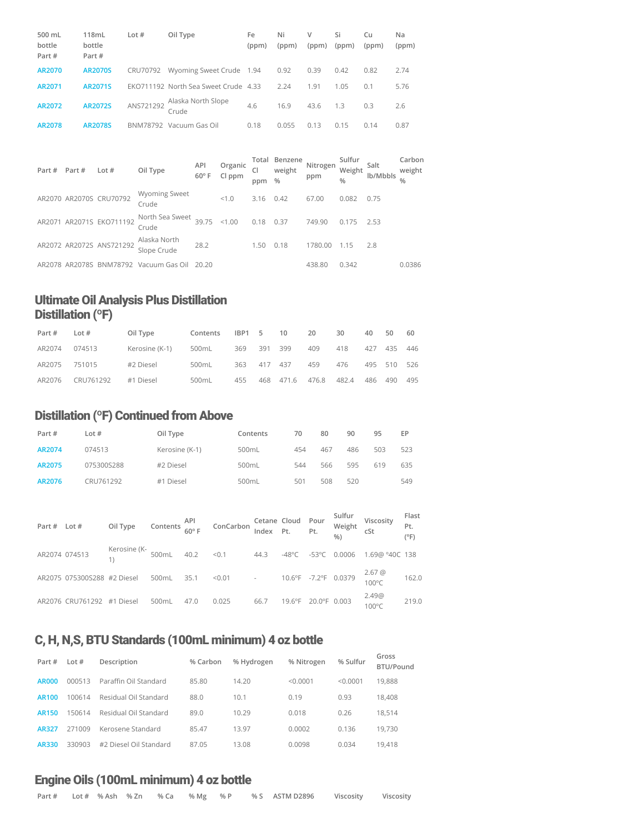| 500 mL<br>bottle<br>Part # | 118mL<br>bottle<br>Part # | Lot $#$   | Oil Type                             | Fe<br>(ppm) | Ni<br>(ppm) | V<br>(ppm) | Si<br>(ppm) | Cu<br>(ppm) | Na<br>(ppm) |
|----------------------------|---------------------------|-----------|--------------------------------------|-------------|-------------|------------|-------------|-------------|-------------|
| AR2070                     | <b>AR2070S</b>            | CRU70792  | Wyoming Sweet Crude 1.94             |             | 0.92        | 0.39       | 0.42        | 0.82        | 2.74        |
| AR2071                     | AR2071S                   |           | EKO711192 North Sea Sweet Crude 4.33 |             | 2.24        | 1.91       | 1.05        | 0.1         | 5.76        |
| AR2072                     | <b>AR2072S</b>            | ANS721292 | Alaska North Slope<br>Crude          | 4.6         | 16.9        | 43.6       | 1.3         | 0.3         | 2.6         |
| AR2078                     | <b>AR2078S</b>            | BNM78792  | Vacuum Gas Oil                       | 0.18        | 0.055       | 0.13       | 0.15        | 0.14        | 0.87        |

| Part # | Part # | Lot $#$                  | Oil Type                      | API<br>$60^\circ$ F | Organic<br>Cl ppm | <b>CI</b><br>ppm | Total Benzene<br>weight<br>$\frac{0}{0}$ | Nitrogen<br>ppm | Sulfur<br>Weight<br>$\frac{0}{0}$ | Salt<br>lb/Mbbls | Carbon<br>weight<br>$\frac{0}{0}$ |
|--------|--------|--------------------------|-------------------------------|---------------------|-------------------|------------------|------------------------------------------|-----------------|-----------------------------------|------------------|-----------------------------------|
|        |        | AR2070 AR2070S CRU70792  | <b>Wyoming Sweet</b><br>Crude |                     | < 1.0             | 3.16             | 0.42                                     | 67.00           | 0.082                             | 0.75             |                                   |
| AR2071 |        | AR2071S EKO711192        | North Sea Sweet<br>Crude      | 39.75               | < 1.00            | 0.18             | 0.37                                     | 749.90          | 0.175                             | 2.53             |                                   |
|        |        | AR2072 AR2072S ANS721292 | Alaska North<br>Slope Crude   | 28.2                |                   | 1.50             | 0.18                                     | 1780.00         | 1.15                              | 2.8              |                                   |
|        |        | AR2078 AR2078S BNM78792  | Vacuum Gas Oil                | 20.20               |                   |                  |                                          | 438.80          | 0.342                             |                  | 0.0386                            |

# Ultimate Oil Analysis Plus Distillation Distillation (°F)

| Part # | Lot $#$   | Oil Type       | Contents | IBP1 5      |         | 10        | 20    | 30    | 40  | 50          | 60  |
|--------|-----------|----------------|----------|-------------|---------|-----------|-------|-------|-----|-------------|-----|
| AR2074 | 074513    | Kerosine (K-1) | 500mL    | 369         | 391 399 |           | 409   | 418   | 427 | 435         | 446 |
| AR2075 | 751015    | #2 Diesel      | 500mL    | 363 417 437 |         |           | 459   | 476   |     | 495 510 526 |     |
| AR2076 | CRU761292 | #1 Diesel      | 500mL    | 455         |         | 468 471.6 | 476.8 | 482.4 | 486 | 490         | 495 |

# Distillation (ºF) Continued from Above

| Part # | Lot $#$    | Oil Type       | Contents | 70  | 80  | 90  | 95  | EP  |
|--------|------------|----------------|----------|-----|-----|-----|-----|-----|
| AR2074 | 074513     | Kerosine (K-1) | 500mL    | 454 | 467 | 486 | 503 | 523 |
| AR2075 | 075300S288 | #2 Diesel      | 500mL    | 544 | 566 | 595 | 619 | 635 |
| AR2076 | CRU761292  | #1 Diesel      | 500mL    | 501 | 508 | 520 |     | 549 |

| Part # Lot # |                             | Oil Type Contents $\frac{API}{60^{\circ}F}$ ConCarbon Cetane Cloud Pour |       |      |                                    |      |                  |              | Sulfur<br>Weight<br>%) | Viscosity<br>cSt | Flast<br>Pt.<br>(°F) |
|--------------|-----------------------------|-------------------------------------------------------------------------|-------|------|------------------------------------|------|------------------|--------------|------------------------|------------------|----------------------|
|              | AR2074 074513               | Kerosine (K-<br>1) 600mL 40.2 < 0.1 44.3 -48°C                          |       |      |                                    |      |                  | -53°C        | 0.0006                 | 1.69@ °40C 138   |                      |
|              | AR2075 075300S288 #2 Diesel |                                                                         | 500mL | 35.1 | $\leq 0.01$ - 10.6°F -7.2°F 0.0379 |      |                  |              |                        | 2.67 @<br>100°C  | 162.0                |
|              | AR2076 CRU761292            | #1 Diesel                                                               | 500mL | 47.0 | 0.025                              | 66.7 | $19.6^{\circ}$ F | 20.0°F 0.003 |                        | 2.49@<br>100°C   | 219.0                |

# C, H, N,S, BTU Standards (100mL minimum) 4 oz bottle

| Part #       | Lot $#$ | Description            | % Carbon | % Hydrogen | % Nitrogen | % Sulfur | Gross<br>BTU/Pound |
|--------------|---------|------------------------|----------|------------|------------|----------|--------------------|
| <b>AR000</b> | 000513  | Paraffin Oil Standard  | 85.80    | 14.20      | < 0.0001   | < 0.0001 | 19.888             |
| <b>AR100</b> | 100614  | Residual Oil Standard  | 88.0     | 10.1       | 0.19       | 0.93     | 18,408             |
| <b>AR150</b> | 150614  | Residual Oil Standard  | 89.0     | 10.29      | 0.018      | 0.26     | 18.514             |
| <b>AR327</b> | 271009  | Kerosene Standard      | 85.47    | 13.97      | 0.0002     | 0.136    | 19.730             |
| AR330        | 330903  | #2 Diesel Oil Standard | 87.05    | 13.08      | 0.0098     | 0.034    | 19,418             |

#### Engine Oils (100mL minimum) 4 oz bottle

| Part # Lot #% Ash % Zn % Ca % Mg % P % S ASTM D2896 Viscosity Viscosity |  |
|-------------------------------------------------------------------------|--|
|-------------------------------------------------------------------------|--|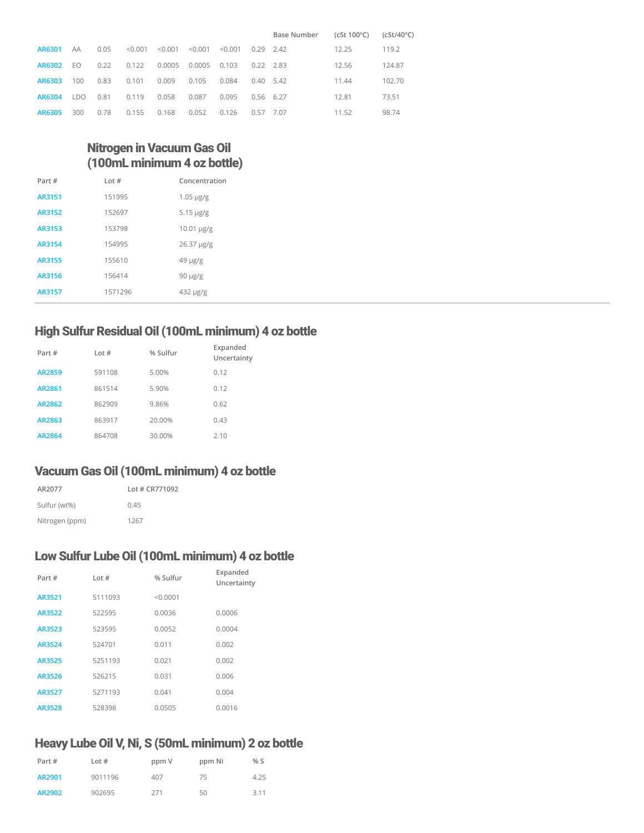|        |      |      |         |         |         |         |             | Base Number      | (cSt 100°C) | $(cSt/40^{\circ}C)$ |
|--------|------|------|---------|---------|---------|---------|-------------|------------------|-------------|---------------------|
| AR6301 | AA   | 0.05 | < 0.001 | < 0.001 | < 0.001 | < 0.001 |             | $0.29$ 2.42      | 12.25       | 119.2               |
| AR6302 | EO   | 0.22 | 0.122   | 0.0005  | 0.0005  | 0.103   | $0.22$ 2.83 |                  | 12.56       | 124.87              |
| AR6303 | 100  | 0.83 | 0.101   | 0.009   | 0.105   | 0.084   |             | $0.40\quad 5.42$ | 11.44       | 102.70              |
| AR6304 | LDO. | 0.81 | 0.119   | 0.058   | 0.087   | 0.095   |             | $0.56$ 6.27      | 12.81       | 73.51               |
| AR6305 | 300  | 0.78 | 0.155   | 0.168   | 0.052   | 0.126   | 0.57        | 7.07             | 11.52       | 98.74               |

## Nitrogen in Vacuum Gas Oil (100mL minimum 4 oz bottle)

| Part # | Int#    | Concentration     |
|--------|---------|-------------------|
| AR3151 | 151995  | $1.05 \mu g/g$    |
| AR3152 | 152697  | $5.15 \mu g/g$    |
| AR3153 | 153798  | $10.01 \,\mu g/g$ |
| AR3154 | 154995  | 26.37 µg/g        |
| AR3155 | 155610  | $49 \mu g/g$      |
| AR3156 | 156414  | $90 \mu g/g$      |
| AR3157 | 1571296 | 432 µg/g          |

#### High Sulfur Residual Oil (100mL minimum) 4 oz bottle

| Part#         | Lot#   | % Sulfur | Expanded<br>Uncertainty |
|---------------|--------|----------|-------------------------|
| <b>AR2859</b> | 591108 | 5.00%    | 0.12                    |
| AR2861        | 861514 | 5.90%    | 0.12                    |
| AR2862        | 862909 | 9.86%    | 0.62                    |
| AR2863        | 863917 | 20.00%   | 0.43                    |
| AR2864        | 864708 | 30.00%   | 2.10                    |

# Vacuum Gas Oil (100mL minimum) 4 oz bottle

| AR2077         | Lot # CR771092 |
|----------------|----------------|
| Sulfur (wt%)   | 0.45           |
| Nitrogen (ppm) | 1267           |

#### Low Sulfur Lube Oil (100mL minimum) 4 oz bottle

| Part#  | Lot $#$ | % Sulfur | Expanded<br>Uncertainty |
|--------|---------|----------|-------------------------|
| AR3521 | 5111093 | < 0.0001 |                         |
| AR3522 | 522595  | 0.0036   | 0.0006                  |
| AR3523 | 523595  | 0.0052   | 0.0004                  |
| AR3524 | 524701  | 0.011    | 0.002                   |
| AR3525 | 5251193 | 0.021    | 0.002                   |
| AR3526 | 526215  | 0.031    | 0.006                   |
| AR3527 | 5271193 | 0.041    | 0.004                   |
| AR3528 | 528398  | 0.0505   | 0.0016                  |
|        |         |          |                         |

# Heavy Lube Oil V, Ni, S (50mL minimum) 2 oz bottle

| Part # | Lot $#$ | ppm V | ppm Ni | % S  |
|--------|---------|-------|--------|------|
| AR2901 | 9011196 | 407   | 75     | 4.25 |
| AR2902 | 902695  | 271   | 50     | 3.11 |